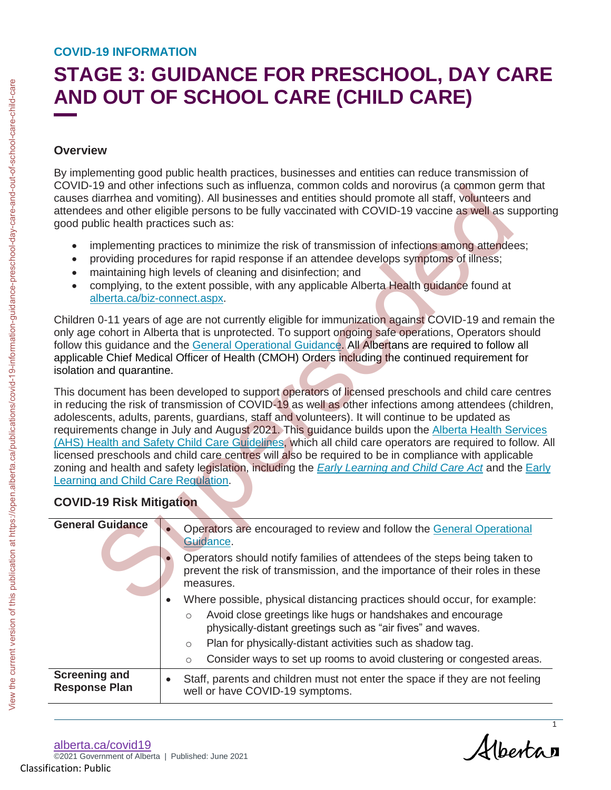# **STAGE 3: GUIDANCE FOR PRESCHOOL, DAY CARE AND OUT OF SCHOOL CARE (CHILD CARE)**

# **Overview**

- implementing practices to minimize the risk of transmission of infections among attendees;
- providing procedures for rapid response if an attendee develops symptoms of illness;
- maintaining high levels of cleaning and disinfection; and
- complying, to the extent possible, with any applicable Alberta Health guidance found at alberta.ca/biz-connect.aspx.

# **COVID-19 Risk Mitigation**

| <b>Overview</b>                                                                                   |                                                                                                                                                                                                                                                                                                                                                                                                                                                                                                                                                                                                                                                                                                                                                                                                             |
|---------------------------------------------------------------------------------------------------|-------------------------------------------------------------------------------------------------------------------------------------------------------------------------------------------------------------------------------------------------------------------------------------------------------------------------------------------------------------------------------------------------------------------------------------------------------------------------------------------------------------------------------------------------------------------------------------------------------------------------------------------------------------------------------------------------------------------------------------------------------------------------------------------------------------|
| good public health practices such as:                                                             | By implementing good public health practices, businesses and entities can reduce transmission of<br>COVID-19 and other infections such as influenza, common colds and norovirus (a common germ that<br>causes diarrhea and vomiting). All businesses and entities should promote all staff, volunteers and<br>attendees and other eligible persons to be fully vaccinated with COVID-19 vaccine as well as supportin                                                                                                                                                                                                                                                                                                                                                                                        |
| alberta.ca/biz-connect.aspx.                                                                      | implementing practices to minimize the risk of transmission of infections among attendees;<br>providing procedures for rapid response if an attendee develops symptoms of illness;<br>maintaining high levels of cleaning and disinfection; and<br>complying, to the extent possible, with any applicable Alberta Health guidance found at                                                                                                                                                                                                                                                                                                                                                                                                                                                                  |
| isolation and quarantine.                                                                         | Children 0-11 years of age are not currently eligible for immunization against COVID-19 and remain the<br>only age cohort in Alberta that is unprotected. To support ongoing safe operations, Operators should<br>follow this guidance and the General Operational Guidance. All Albertans are required to follow all<br>applicable Chief Medical Officer of Health (CMOH) Orders including the continued requirement for                                                                                                                                                                                                                                                                                                                                                                                   |
|                                                                                                   | This document has been developed to support operators of licensed preschools and child care centres                                                                                                                                                                                                                                                                                                                                                                                                                                                                                                                                                                                                                                                                                                         |
|                                                                                                   | adolescents, adults, parents, guardians, staff and volunteers). It will continue to be updated as                                                                                                                                                                                                                                                                                                                                                                                                                                                                                                                                                                                                                                                                                                           |
| Learning and Child Care Regulation.<br><b>COVID-19 Risk Mitigation</b><br><b>General Guidance</b> | in reducing the risk of transmission of COVID-19 as well as other infections among attendees (children<br>requirements change in July and August 2021. This guidance builds upon the Alberta Health Services<br>(AHS) Health and Safety Child Care Guidelines, which all child care operators are required to follow. A<br>licensed preschools and child care centres will also be required to be in compliance with applicable<br>zoning and health and safety legislation, including the <i>Early Learning and Child Care Act</i> and the <i>Early</i><br>Operators are encouraged to review and follow the General Operational<br>Guidance.<br>Operators should notify families of attendees of the steps being taken to<br>prevent the risk of transmission, and the importance of their roles in these |
|                                                                                                   | measures.<br>Where possible, physical distancing practices should occur, for example:<br>Avoid close greetings like hugs or handshakes and encourage<br>$\circ$<br>physically-distant greetings such as "air fives" and waves.<br>Plan for physically-distant activities such as shadow tag.<br>$\circ$<br>Consider ways to set up rooms to avoid clustering or congested areas.<br>$\circ$                                                                                                                                                                                                                                                                                                                                                                                                                 |

[alberta.ca/](https://www.alberta.ca/BizConnect)covid19 ©2021 Government of Alberta | Published: June 2021 Classification: Public

Alberta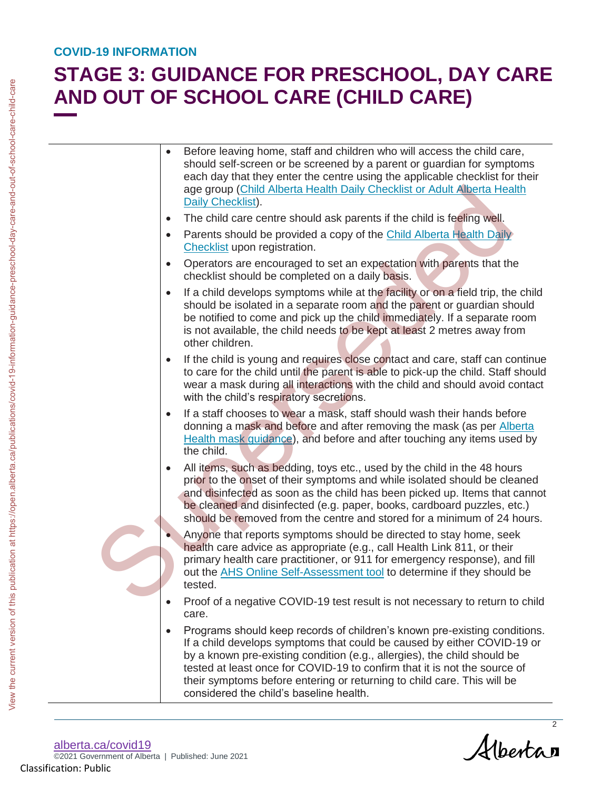# **STAGE 3: GUIDANCE FOR PRESCHOOL, DAY CARE AND OUT OF SCHOOL CARE (CHILD CARE)**

|           | AND OUT OF SCHOOL CARE (CHILD CARE)                                                                                                                                                                                                                                                                                                                                                                                                 |
|-----------|-------------------------------------------------------------------------------------------------------------------------------------------------------------------------------------------------------------------------------------------------------------------------------------------------------------------------------------------------------------------------------------------------------------------------------------|
|           | Before leaving home, staff and children who will access the child care,<br>should self-screen or be screened by a parent or guardian for symptoms<br>each day that they enter the centre using the applicable checklist for their<br>age group (Child Alberta Health Daily Checklist or Adult Alberta Health<br>Daily Checklist).                                                                                                   |
| $\bullet$ | The child care centre should ask parents if the child is feeling well.                                                                                                                                                                                                                                                                                                                                                              |
| $\bullet$ | Parents should be provided a copy of the Child Alberta Health Daily<br>Checklist upon registration.                                                                                                                                                                                                                                                                                                                                 |
|           | Operators are encouraged to set an expectation with parents that the<br>checklist should be completed on a daily basis.                                                                                                                                                                                                                                                                                                             |
| $\bullet$ | If a child develops symptoms while at the facility or on a field trip, the child<br>should be isolated in a separate room and the parent or guardian should<br>be notified to come and pick up the child immediately. If a separate room<br>is not available, the child needs to be kept at least 2 metres away from<br>other children.                                                                                             |
|           | If the child is young and requires close contact and care, staff can continue<br>to care for the child until the parent is able to pick-up the child. Staff should<br>wear a mask during all interactions with the child and should avoid contact<br>with the child's respiratory secretions.                                                                                                                                       |
|           | If a staff chooses to wear a mask, staff should wash their hands before<br>donning a mask and before and after removing the mask (as per Alberta<br>Health mask guidance), and before and after touching any items used by<br>the child.                                                                                                                                                                                            |
|           | All items, such as bedding, toys etc., used by the child in the 48 hours<br>prior to the onset of their symptoms and while isolated should be cleaned<br>and disinfected as soon as the child has been picked up. Items that cannot<br>be cleaned and disinfected (e.g. paper, books, cardboard puzzles, etc.)<br>should be removed from the centre and stored for a minimum of 24 hours.                                           |
|           | Anyone that reports symptoms should be directed to stay home, seek<br>health care advice as appropriate (e.g., call Health Link 811, or their<br>primary health care practitioner, or 911 for emergency response), and fill<br>out the AHS Online Self-Assessment tool to determine if they should be<br>tested.                                                                                                                    |
|           | Proof of a negative COVID-19 test result is not necessary to return to child<br>care.                                                                                                                                                                                                                                                                                                                                               |
|           | Programs should keep records of children's known pre-existing conditions.<br>If a child develops symptoms that could be caused by either COVID-19 or<br>by a known pre-existing condition (e.g., allergies), the child should be<br>tested at least once for COVID-19 to confirm that it is not the source of<br>their symptoms before entering or returning to child care. This will be<br>considered the child's baseline health. |

Albertan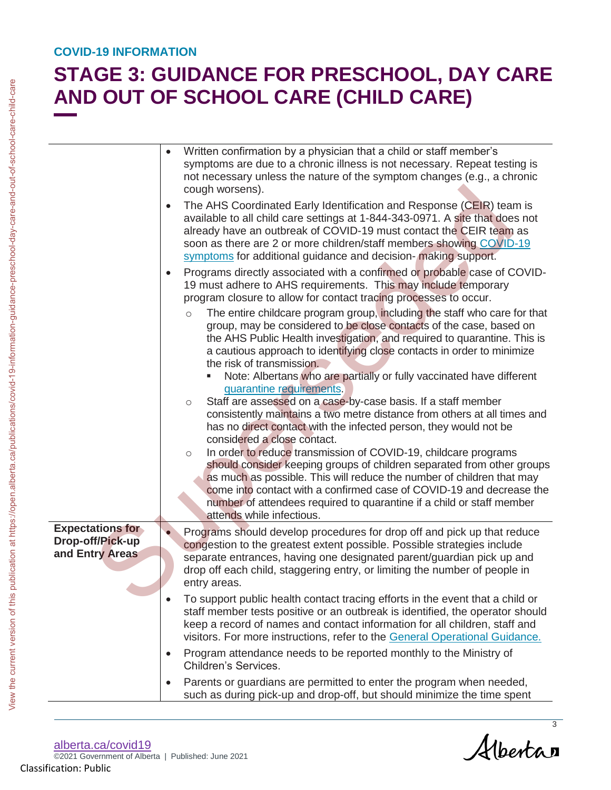# **STAGE 3: GUIDANCE FOR PRESCHOOL, DAY CARE AND OUT OF SCHOOL CARE (CHILD CARE)**

|                                                                | AND OUT OF SCHOOL CARE (CHILD CARE)<br>Written confirmation by a physician that a child or staff member's                                                                                                                                                                                                                                                                                                              |
|----------------------------------------------------------------|------------------------------------------------------------------------------------------------------------------------------------------------------------------------------------------------------------------------------------------------------------------------------------------------------------------------------------------------------------------------------------------------------------------------|
|                                                                | symptoms are due to a chronic illness is not necessary. Repeat testing is<br>not necessary unless the nature of the symptom changes (e.g., a chronic<br>cough worsens).                                                                                                                                                                                                                                                |
|                                                                | The AHS Coordinated Early Identification and Response (CEIR) team is<br>available to all child care settings at 1-844-343-0971. A site that does not<br>already have an outbreak of COVID-19 must contact the CEIR team as<br>soon as there are 2 or more children/staff members showing COVID-19<br>symptoms for additional guidance and decision- making support.                                                    |
|                                                                | Programs directly associated with a confirmed or probable case of COVID-<br>$\bullet$<br>19 must adhere to AHS requirements. This may include temporary<br>program closure to allow for contact tracing processes to occur.                                                                                                                                                                                            |
|                                                                | The entire childcare program group, including the staff who care for that<br>$\circ$<br>group, may be considered to be close contacts of the case, based on<br>the AHS Public Health investigation, and required to quarantine. This is<br>a cautious approach to identifying close contacts in order to minimize<br>the risk of transmission.<br>Note: Albertans who are partially or fully vaccinated have different |
|                                                                | quarantine requirements.<br>Staff are assessed on a case-by-case basis. If a staff member<br>$\circ$<br>consistently maintains a two metre distance from others at all times and<br>has no direct contact with the infected person, they would not be<br>considered a close contact.                                                                                                                                   |
|                                                                | In order to reduce transmission of COVID-19, childcare programs<br>$\circ$<br>should consider keeping groups of children separated from other groups<br>as much as possible. This will reduce the number of children that may<br>come into contact with a confirmed case of COVID-19 and decrease the<br>number of attendees required to quarantine if a child or staff member<br>attends while infectious.            |
| <b>Expectations for</b><br>Drop-off/Pick-up<br>and Entry Areas | Programs should develop procedures for drop off and pick up that reduce<br>congestion to the greatest extent possible. Possible strategies include<br>separate entrances, having one designated parent/guardian pick up and<br>drop off each child, staggering entry, or limiting the number of people in<br>entry areas.                                                                                              |
|                                                                | To support public health contact tracing efforts in the event that a child or<br>staff member tests positive or an outbreak is identified, the operator should<br>keep a record of names and contact information for all children, staff and<br>visitors. For more instructions, refer to the General Operational Guidance.                                                                                            |
|                                                                | Program attendance needs to be reported monthly to the Ministry of<br>$\bullet$<br>Children's Services.                                                                                                                                                                                                                                                                                                                |
|                                                                | Parents or guardians are permitted to enter the program when needed,<br>$\bullet$<br>such as during pick-up and drop-off, but should minimize the time spent                                                                                                                                                                                                                                                           |

Albertan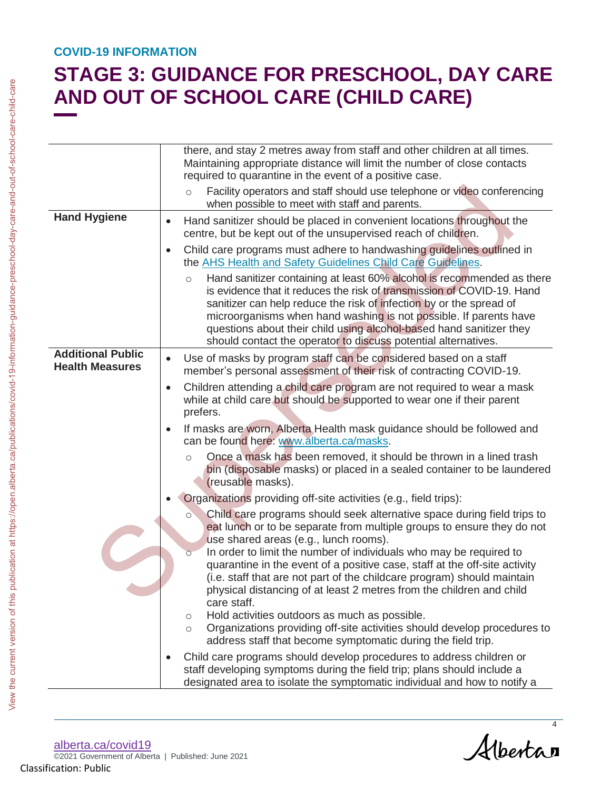# **STAGE 3: GUIDANCE FOR PRESCHOOL, DAY CARE AND OUT OF SCHOOL CARE (CHILD CARE)**

|                                                    | there, and stay 2 metres away from staff and other children at all times.<br>Maintaining appropriate distance will limit the number of close contacts<br>required to quarantine in the event of a positive case.<br>Facility operators and staff should use telephone or video conferencing<br>$\circ$<br>when possible to meet with staff and parents.                                                                                          |
|----------------------------------------------------|--------------------------------------------------------------------------------------------------------------------------------------------------------------------------------------------------------------------------------------------------------------------------------------------------------------------------------------------------------------------------------------------------------------------------------------------------|
| <b>Hand Hygiene</b>                                | Hand sanitizer should be placed in convenient locations throughout the<br>$\bullet$<br>centre, but be kept out of the unsupervised reach of children.                                                                                                                                                                                                                                                                                            |
|                                                    | Child care programs must adhere to handwashing guidelines outlined in<br>$\bullet$<br>the AHS Health and Safety Guidelines Child Care Guidelines.                                                                                                                                                                                                                                                                                                |
|                                                    | Hand sanitizer containing at least 60% alcohol is recommended as there<br>$\circ$<br>is evidence that it reduces the risk of transmission of COVID-19. Hand<br>sanitizer can help reduce the risk of infection by or the spread of<br>microorganisms when hand washing is not possible. If parents have<br>questions about their child using alcohol-based hand sanitizer they<br>should contact the operator to discuss potential alternatives. |
| <b>Additional Public</b><br><b>Health Measures</b> | Use of masks by program staff can be considered based on a staff<br>$\bullet$<br>member's personal assessment of their risk of contracting COVID-19.                                                                                                                                                                                                                                                                                             |
|                                                    | Children attending a child care program are not required to wear a mask<br>$\bullet$<br>while at child care but should be supported to wear one if their parent<br>prefers.                                                                                                                                                                                                                                                                      |
|                                                    | If masks are worn, Alberta Health mask guidance should be followed and<br>$\bullet$<br>can be found here: www.alberta.ca/masks.                                                                                                                                                                                                                                                                                                                  |
|                                                    | Once a mask has been removed, it should be thrown in a lined trash<br>$\circ$<br>bin (disposable masks) or placed in a sealed container to be laundered<br>(reusable masks).                                                                                                                                                                                                                                                                     |
|                                                    | Organizations providing off-site activities (e.g., field trips):                                                                                                                                                                                                                                                                                                                                                                                 |
|                                                    | Child care programs should seek alternative space during field trips to<br>O<br>eat lunch or to be separate from multiple groups to ensure they do not<br>use shared areas (e.g., lunch rooms).                                                                                                                                                                                                                                                  |
|                                                    | In order to limit the number of individuals who may be required to<br>$\overline{O}$<br>quarantine in the event of a positive case, staff at the off-site activity<br>(i.e. staff that are not part of the childcare program) should maintain<br>physical distancing of at least 2 metres from the children and child<br>care staff.                                                                                                             |
|                                                    | Hold activities outdoors as much as possible.<br>$\circ$<br>Organizations providing off-site activities should develop procedures to<br>$\circ$<br>address staff that become symptomatic during the field trip.                                                                                                                                                                                                                                  |
|                                                    | Child care programs should develop procedures to address children or<br>$\bullet$<br>staff developing symptoms during the field trip; plans should include a<br>designated area to isolate the symptomatic individual and how to notify a                                                                                                                                                                                                        |

[alberta.ca/](https://www.alberta.ca/BizConnect)covid19 ©2021 Government of Alberta | Published: June 2021

Albertan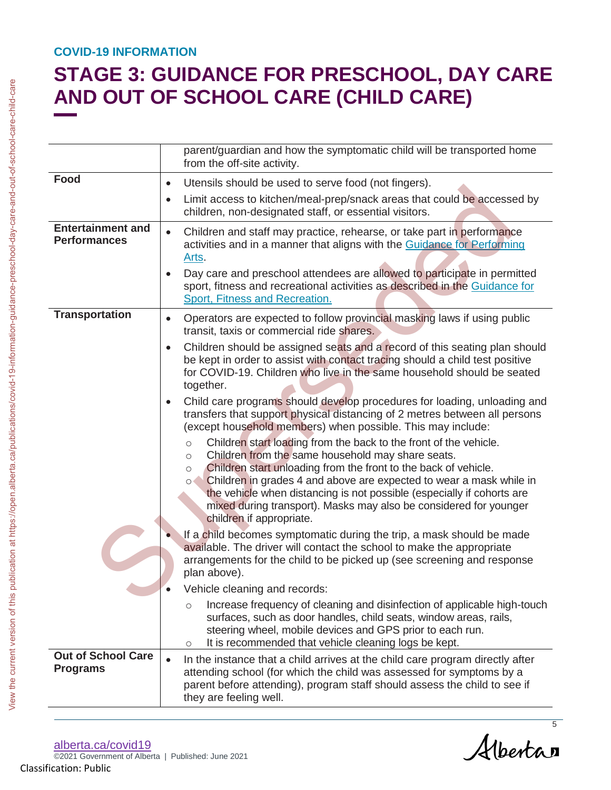# **STAGE 3: GUIDANCE FOR PRESCHOOL, DAY CARE AND OUT OF SCHOOL CARE (CHILD CARE)**

|                                                 | AND OUT OF SCHOOL CARE (CHILD CARE)                                                                                                                                                                                                                                                                                                                                                                                                                                                     |
|-------------------------------------------------|-----------------------------------------------------------------------------------------------------------------------------------------------------------------------------------------------------------------------------------------------------------------------------------------------------------------------------------------------------------------------------------------------------------------------------------------------------------------------------------------|
|                                                 | parent/guardian and how the symptomatic child will be transported home<br>from the off-site activity.                                                                                                                                                                                                                                                                                                                                                                                   |
| Food                                            | Utensils should be used to serve food (not fingers).<br>$\bullet$                                                                                                                                                                                                                                                                                                                                                                                                                       |
|                                                 | Limit access to kitchen/meal-prep/snack areas that could be accessed by<br>$\bullet$<br>children, non-designated staff, or essential visitors.                                                                                                                                                                                                                                                                                                                                          |
| <b>Entertainment and</b><br><b>Performances</b> | Children and staff may practice, rehearse, or take part in performance<br>$\bullet$<br>activities and in a manner that aligns with the Guidance for Performing<br>Arts.                                                                                                                                                                                                                                                                                                                 |
|                                                 | Day care and preschool attendees are allowed to participate in permitted<br>sport, fitness and recreational activities as described in the Guidance for<br>Sport, Fitness and Recreation.                                                                                                                                                                                                                                                                                               |
| <b>Transportation</b>                           | Operators are expected to follow provincial masking laws if using public<br>$\bullet$<br>transit, taxis or commercial ride shares.                                                                                                                                                                                                                                                                                                                                                      |
|                                                 | Children should be assigned seats and a record of this seating plan should<br>$\bullet$<br>be kept in order to assist with contact tracing should a child test positive<br>for COVID-19. Children who live in the same household should be seated<br>together.                                                                                                                                                                                                                          |
|                                                 | Child care programs should develop procedures for loading, unloading and<br>transfers that support physical distancing of 2 metres between all persons<br>(except household members) when possible. This may include:                                                                                                                                                                                                                                                                   |
|                                                 | Children start loading from the back to the front of the vehicle.<br>$\circ$<br>Children from the same household may share seats.<br>$\circ$<br>Children start unloading from the front to the back of vehicle.<br>$\circ$<br>Children in grades 4 and above are expected to wear a mask while in<br>$\circ$<br>the vehicle when distancing is not possible (especially if cohorts are<br>mixed during transport). Masks may also be considered for younger<br>children if appropriate. |
|                                                 | If a child becomes symptomatic during the trip, a mask should be made<br>available. The driver will contact the school to make the appropriate<br>arrangements for the child to be picked up (see screening and response<br>plan above).                                                                                                                                                                                                                                                |
|                                                 | Vehicle cleaning and records:                                                                                                                                                                                                                                                                                                                                                                                                                                                           |
|                                                 | Increase frequency of cleaning and disinfection of applicable high-touch<br>$\circ$<br>surfaces, such as door handles, child seats, window areas, rails,<br>steering wheel, mobile devices and GPS prior to each run.<br>It is recommended that vehicle cleaning logs be kept.<br>$\circlearrowright$                                                                                                                                                                                   |
| <b>Out of School Care</b><br><b>Programs</b>    | In the instance that a child arrives at the child care program directly after<br>attending school (for which the child was assessed for symptoms by a<br>parent before attending), program staff should assess the child to see if<br>they are feeling well.                                                                                                                                                                                                                            |
|                                                 |                                                                                                                                                                                                                                                                                                                                                                                                                                                                                         |

Albertan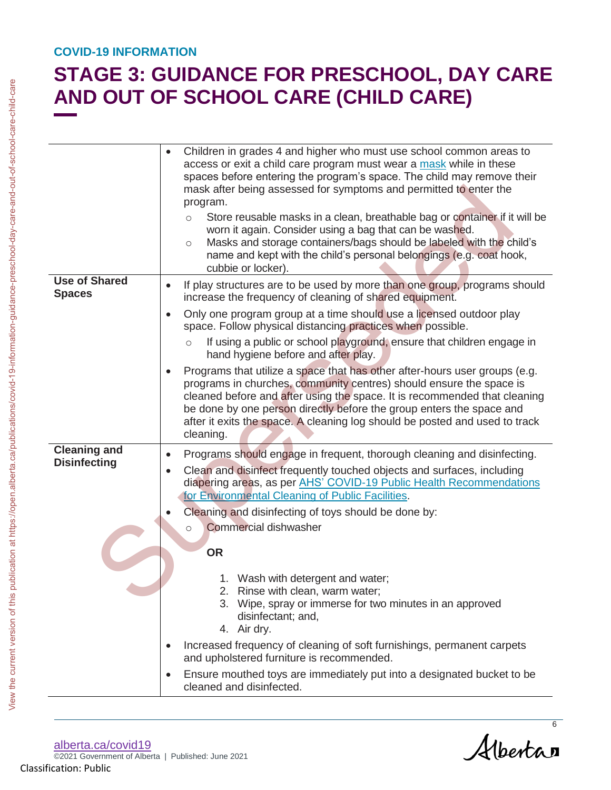# **STAGE 3: GUIDANCE FOR PRESCHOOL, DAY CARE AND OUT OF SCHOOL CARE (CHILD CARE)**

|                                            | AND OUT OF SCHOOL CARE (CHILD CARE)                                                                                                                                                                                                                                                                                                                                                                |
|--------------------------------------------|----------------------------------------------------------------------------------------------------------------------------------------------------------------------------------------------------------------------------------------------------------------------------------------------------------------------------------------------------------------------------------------------------|
|                                            | Children in grades 4 and higher who must use school common areas to<br>access or exit a child care program must wear a mask while in these<br>spaces before entering the program's space. The child may remove their<br>mask after being assessed for symptoms and permitted to enter the<br>program.                                                                                              |
|                                            | Store reusable masks in a clean, breathable bag or container if it will be<br>$\circ$<br>worn it again. Consider using a bag that can be washed.<br>Masks and storage containers/bags should be labeled with the child's<br>$\circ$<br>name and kept with the child's personal belongings (e.g. coat hook,<br>cubbie or locker).                                                                   |
| <b>Use of Shared</b><br><b>Spaces</b>      | If play structures are to be used by more than one group, programs should<br>increase the frequency of cleaning of shared equipment.                                                                                                                                                                                                                                                               |
|                                            | Only one program group at a time should use a licensed outdoor play<br>space. Follow physical distancing practices when possible.                                                                                                                                                                                                                                                                  |
|                                            | If using a public or school playground, ensure that children engage in<br>$\circ$<br>hand hygiene before and after play.                                                                                                                                                                                                                                                                           |
|                                            | Programs that utilize a space that has other after-hours user groups (e.g.<br>programs in churches, community centres) should ensure the space is<br>cleaned before and after using the space. It is recommended that cleaning<br>be done by one person directly before the group enters the space and<br>after it exits the space. A cleaning log should be posted and used to track<br>cleaning. |
| <b>Cleaning and</b><br><b>Disinfecting</b> | Programs should engage in frequent, thorough cleaning and disinfecting.<br>$\bullet$                                                                                                                                                                                                                                                                                                               |
|                                            | Clean and disinfect frequently touched objects and surfaces, including<br>diapering areas, as per AHS' COVID-19 Public Health Recommendations<br>for Environmental Cleaning of Public Facilities.                                                                                                                                                                                                  |
|                                            | Cleaning and disinfecting of toys should be done by:                                                                                                                                                                                                                                                                                                                                               |
|                                            | <b>Commercial dishwasher</b><br><b>OR</b>                                                                                                                                                                                                                                                                                                                                                          |
|                                            | 1. Wash with detergent and water;<br>2. Rinse with clean, warm water;<br>3. Wipe, spray or immerse for two minutes in an approved<br>disinfectant; and,<br>4. Air dry.                                                                                                                                                                                                                             |
|                                            | Increased frequency of cleaning of soft furnishings, permanent carpets<br>and upholstered furniture is recommended.                                                                                                                                                                                                                                                                                |
|                                            | Ensure mouthed toys are immediately put into a designated bucket to be<br>$\bullet$<br>cleaned and disinfected.                                                                                                                                                                                                                                                                                    |

Alberta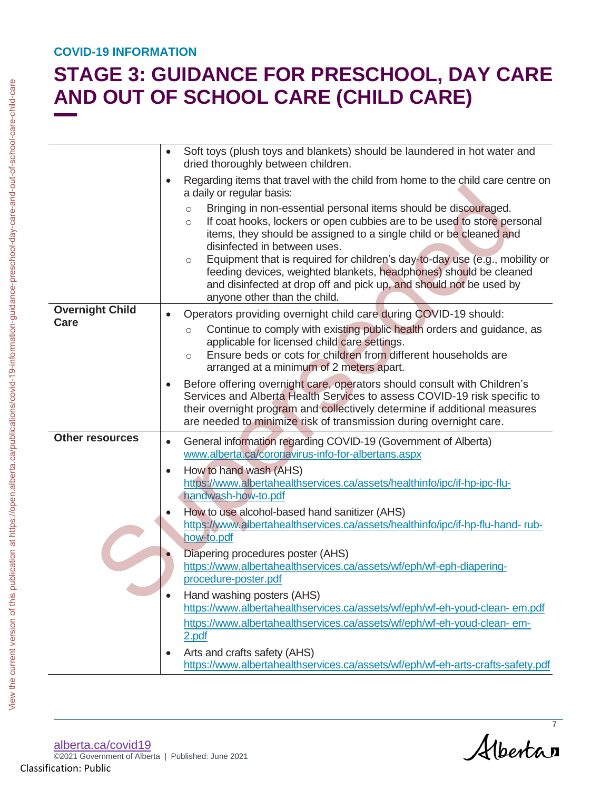# **STAGE 3: GUIDANCE FOR PRESCHOOL, DAY CARE AND OUT OF SCHOOL CARE (CHILD CARE)**

|                        | Soft toys (plush toys and blankets) should be laundered in hot water and<br>$\bullet$<br>dried thoroughly between children.<br>Regarding items that travel with the child from home to the child care centre on<br>$\bullet$<br>a daily or regular basis:<br>Bringing in non-essential personal items should be discouraged.<br>$\circlearrowright$<br>If coat hooks, lockers or open cubbies are to be used to store personal<br>$\circ$<br>items, they should be assigned to a single child or be cleaned and<br>disinfected in between uses.<br>Equipment that is required for children's day-to-day use (e.g., mobility or<br>$\circ$<br>feeding devices, weighted blankets, headphones) should be cleaned |
|------------------------|----------------------------------------------------------------------------------------------------------------------------------------------------------------------------------------------------------------------------------------------------------------------------------------------------------------------------------------------------------------------------------------------------------------------------------------------------------------------------------------------------------------------------------------------------------------------------------------------------------------------------------------------------------------------------------------------------------------|
| <b>Overnight Child</b> | and disinfected at drop off and pick up, and should not be used by<br>anyone other than the child.<br>Operators providing overnight child care during COVID-19 should:                                                                                                                                                                                                                                                                                                                                                                                                                                                                                                                                         |
| Care                   | Continue to comply with existing public health orders and guidance, as<br>$\circ$<br>applicable for licensed child care settings.<br>Ensure beds or cots for children from different households are<br>$\circ$<br>arranged at a minimum of 2 meters apart.                                                                                                                                                                                                                                                                                                                                                                                                                                                     |
|                        | Before offering overnight care, operators should consult with Children's<br>$\bullet$<br>Services and Alberta Health Services to assess COVID-19 risk specific to<br>their overnight program and collectively determine if additional measures<br>are needed to minimize risk of transmission during overnight care.                                                                                                                                                                                                                                                                                                                                                                                           |
| <b>Other resources</b> | General information regarding COVID-19 (Government of Alberta)<br>$\bullet$<br>www.alberta.ca/coronavirus-info-for-albertans.aspx                                                                                                                                                                                                                                                                                                                                                                                                                                                                                                                                                                              |
|                        | How to hand wash (AHS)<br>$\bullet$<br>https://www.albertahealthservices.ca/assets/healthinfo/ipc/if-hp-ipc-flu-<br>handwash-how-to.pdf                                                                                                                                                                                                                                                                                                                                                                                                                                                                                                                                                                        |
|                        | How to use alcohol-based hand sanitizer (AHS)<br>https://www.albertahealthservices.ca/assets/healthinfo/ipc/if-hp-flu-hand-rub-<br>how-to.pdf                                                                                                                                                                                                                                                                                                                                                                                                                                                                                                                                                                  |
|                        | Diapering procedures poster (AHS)<br>https://www.albertahealthservices.ca/assets/wf/eph/wf-eph-diapering-<br>procedure-poster.pdf                                                                                                                                                                                                                                                                                                                                                                                                                                                                                                                                                                              |
|                        | Hand washing posters (AHS)<br>https://www.albertahealthservices.ca/assets/wf/eph/wf-eh-youd-clean- em.pdf<br>https://www.albertahealthservices.ca/assets/wf/eph/wf-eh-youd-clean-em-<br>2.pdf                                                                                                                                                                                                                                                                                                                                                                                                                                                                                                                  |
|                        | Arts and crafts safety (AHS)<br>$\bullet$<br>https://www.albertahealthservices.ca/assets/wf/eph/wf-eh-arts-crafts-safety.pdf                                                                                                                                                                                                                                                                                                                                                                                                                                                                                                                                                                                   |

Albertan